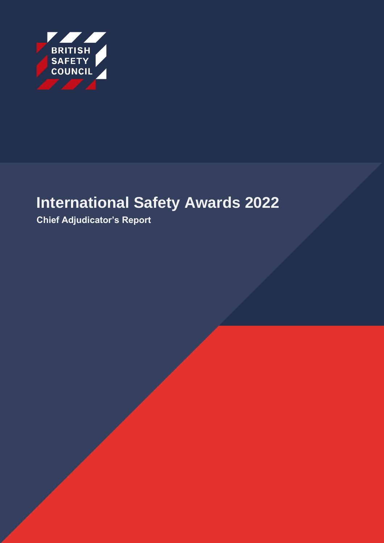

# **International Safety Awards 2022**

**Chief Adjudicator's Report**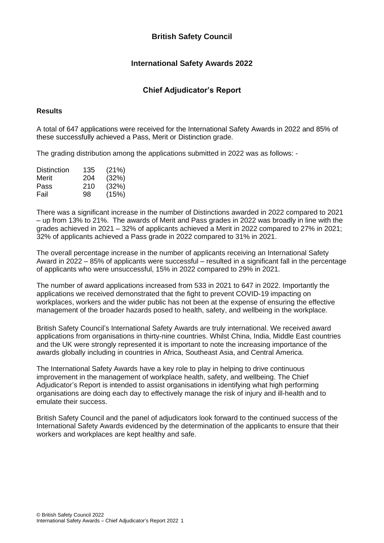# **British Safety Council**

# **International Safety Awards 2022**

# **Chief Adjudicator's Report**

#### **Results**

A total of 647 applications were received for the International Safety Awards in 2022 and 85% of these successfully achieved a Pass, Merit or Distinction grade.

The grading distribution among the applications submitted in 2022 was as follows: -

| Distinction | 135 | (21%) |
|-------------|-----|-------|
| Merit       | 204 | (32%) |
| Pass        | 210 | (32%) |
| Fail        | 98  | (15%) |

There was a significant increase in the number of Distinctions awarded in 2022 compared to 2021 – up from 13% to 21%. The awards of Merit and Pass grades in 2022 was broadly in line with the grades achieved in 2021 – 32% of applicants achieved a Merit in 2022 compared to 27% in 2021; 32% of applicants achieved a Pass grade in 2022 compared to 31% in 2021.

The overall percentage increase in the number of applicants receiving an International Safety Award in 2022 – 85% of applicants were successful – resulted in a significant fall in the percentage of applicants who were unsuccessful, 15% in 2022 compared to 29% in 2021.

The number of award applications increased from 533 in 2021 to 647 in 2022. Importantly the applications we received demonstrated that the fight to prevent COVID-19 impacting on workplaces, workers and the wider public has not been at the expense of ensuring the effective management of the broader hazards posed to health, safety, and wellbeing in the workplace.

British Safety Council's International Safety Awards are truly international. We received award applications from organisations in thirty-nine countries. Whilst China, India, Middle East countries and the UK were strongly represented it is important to note the increasing importance of the awards globally including in countries in Africa, Southeast Asia, and Central America.

The International Safety Awards have a key role to play in helping to drive continuous improvement in the management of workplace health, safety, and wellbeing. The Chief Adjudicator's Report is intended to assist organisations in identifying what high performing organisations are doing each day to effectively manage the risk of injury and ill-health and to emulate their success.

British Safety Council and the panel of adjudicators look forward to the continued success of the International Safety Awards evidenced by the determination of the applicants to ensure that their workers and workplaces are kept healthy and safe.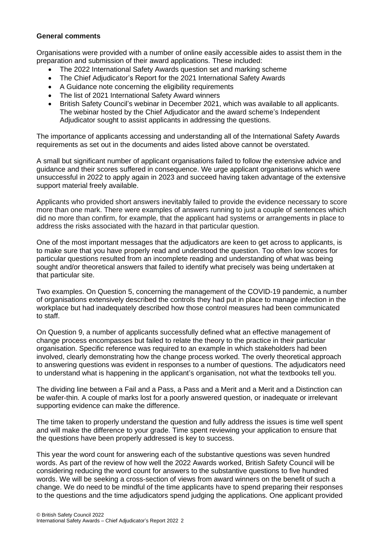#### **General comments**

Organisations were provided with a number of online easily accessible aides to assist them in the preparation and submission of their award applications. These included:

- The 2022 International Safety Awards question set and marking scheme
- The Chief Adjudicator's Report for the 2021 International Safety Awards
- A Guidance note concerning the eligibility requirements
- The list of 2021 International Safety Award winners
- British Safety Council's webinar in December 2021, which was available to all applicants. The webinar hosted by the Chief Adjudicator and the award scheme's Independent Adjudicator sought to assist applicants in addressing the questions.

The importance of applicants accessing and understanding all of the International Safety Awards requirements as set out in the documents and aides listed above cannot be overstated.

A small but significant number of applicant organisations failed to follow the extensive advice and guidance and their scores suffered in consequence. We urge applicant organisations which were unsuccessful in 2022 to apply again in 2023 and succeed having taken advantage of the extensive support material freely available.

Applicants who provided short answers inevitably failed to provide the evidence necessary to score more than one mark. There were examples of answers running to just a couple of sentences which did no more than confirm, for example, that the applicant had systems or arrangements in place to address the risks associated with the hazard in that particular question.

One of the most important messages that the adjudicators are keen to get across to applicants, is to make sure that you have properly read and understood the question. Too often low scores for particular questions resulted from an incomplete reading and understanding of what was being sought and/or theoretical answers that failed to identify what precisely was being undertaken at that particular site.

Two examples. On Question 5, concerning the management of the COVID-19 pandemic, a number of organisations extensively described the controls they had put in place to manage infection in the workplace but had inadequately described how those control measures had been communicated to staff.

On Question 9, a number of applicants successfully defined what an effective management of change process encompasses but failed to relate the theory to the practice in their particular organisation. Specific reference was required to an example in which stakeholders had been involved, clearly demonstrating how the change process worked. The overly theoretical approach to answering questions was evident in responses to a number of questions. The adjudicators need to understand what is happening in the applicant's organisation, not what the textbooks tell you.

The dividing line between a Fail and a Pass, a Pass and a Merit and a Merit and a Distinction can be wafer-thin. A couple of marks lost for a poorly answered question, or inadequate or irrelevant supporting evidence can make the difference.

The time taken to properly understand the question and fully address the issues is time well spent and will make the difference to your grade. Time spent reviewing your application to ensure that the questions have been properly addressed is key to success.

This year the word count for answering each of the substantive questions was seven hundred words. As part of the review of how well the 2022 Awards worked, British Safety Council will be considering reducing the word count for answers to the substantive questions to five hundred words. We will be seeking a cross-section of views from award winners on the benefit of such a change. We do need to be mindful of the time applicants have to spend preparing their responses to the questions and the time adjudicators spend judging the applications. One applicant provided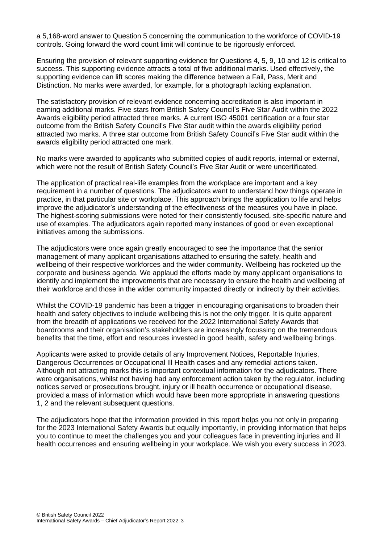a 5,168-word answer to Question 5 concerning the communication to the workforce of COVID-19 controls. Going forward the word count limit will continue to be rigorously enforced.

Ensuring the provision of relevant supporting evidence for Questions 4, 5, 9, 10 and 12 is critical to success. This supporting evidence attracts a total of five additional marks. Used effectively, the supporting evidence can lift scores making the difference between a Fail, Pass, Merit and Distinction. No marks were awarded, for example, for a photograph lacking explanation.

The satisfactory provision of relevant evidence concerning accreditation is also important in earning additional marks. Five stars from British Safety Council's Five Star Audit within the 2022 Awards eligibility period attracted three marks. A current ISO 45001 certification or a four star outcome from the British Safety Council's Five Star audit within the awards eligibility period attracted two marks. A three star outcome from British Safety Council's Five Star audit within the awards eligibility period attracted one mark.

No marks were awarded to applicants who submitted copies of audit reports, internal or external, which were not the result of British Safety Council's Five Star Audit or were uncertificated.

The application of practical real-life examples from the workplace are important and a key requirement in a number of questions. The adjudicators want to understand how things operate in practice, in that particular site or workplace. This approach brings the application to life and helps improve the adjudicator's understanding of the effectiveness of the measures you have in place. The highest-scoring submissions were noted for their consistently focused, site-specific nature and use of examples. The adjudicators again reported many instances of good or even exceptional initiatives among the submissions.

The adjudicators were once again greatly encouraged to see the importance that the senior management of many applicant organisations attached to ensuring the safety, health and wellbeing of their respective workforces and the wider community. Wellbeing has rocketed up the corporate and business agenda. We applaud the efforts made by many applicant organisations to identify and implement the improvements that are necessary to ensure the health and wellbeing of their workforce and those in the wider community impacted directly or indirectly by their activities.

Whilst the COVID-19 pandemic has been a trigger in encouraging organisations to broaden their health and safety objectives to include wellbeing this is not the only trigger. It is quite apparent from the breadth of applications we received for the 2022 International Safety Awards that boardrooms and their organisation's stakeholders are increasingly focussing on the tremendous benefits that the time, effort and resources invested in good health, safety and wellbeing brings.

Applicants were asked to provide details of any Improvement Notices, Reportable Injuries, Dangerous Occurrences or Occupational Ill Health cases and any remedial actions taken. Although not attracting marks this is important contextual information for the adjudicators. There were organisations, whilst not having had any enforcement action taken by the regulator, including notices served or prosecutions brought, injury or ill health occurrence or occupational disease, provided a mass of information which would have been more appropriate in answering questions 1, 2 and the relevant subsequent questions.

The adjudicators hope that the information provided in this report helps you not only in preparing for the 2023 International Safety Awards but equally importantly, in providing information that helps you to continue to meet the challenges you and your colleagues face in preventing injuries and ill health occurrences and ensuring wellbeing in your workplace. We wish you every success in 2023.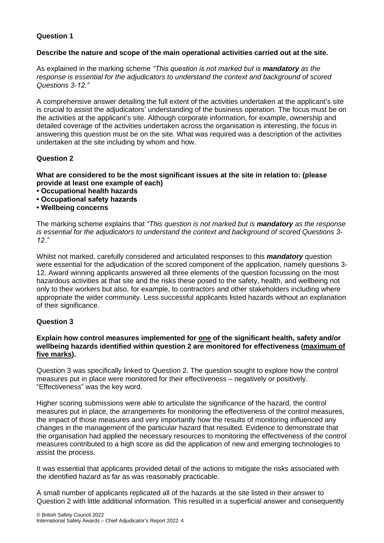# **Question 1**

#### **Describe the nature and scope of the main operational activities carried out at the site.**

As explained in the marking scheme *"This question is not marked but is mandatory as the response is essential for the adjudicators to understand the context and background of scored Questions 3-12."*

A comprehensive answer detailing the full extent of the activities undertaken at the applicant's site is crucial to assist the adjudicators' understanding of the business operation. The focus must be on the activities at the applicant's site. Although corporate information, for example, ownership and detailed coverage of the activities undertaken across the organisation is interesting, the focus in answering this question must be on the site. What was required was a description of the activities undertaken at the site including by whom and how.

# **Question 2**

**What are considered to be the most significant issues at the site in relation to: (please provide at least one example of each)**

- **Occupational health hazards**
- **Occupational safety hazards**
- **Wellbeing concerns**

The marking scheme explains that *"This question is not marked but is mandatory as the response is essential for the adjudicators to understand the context and background of scored Questions 3- 12."*

Whilst not marked, carefully considered and articulated responses to this *mandatory* question were essential for the adjudication of the scored component of the application, namely questions 3- 12. Award winning applicants answered all three elements of the question focussing on the most hazardous activities at that site and the risks these posed to the safety, health, and wellbeing not only to their workers but also, for example, to contractors and other stakeholders including where appropriate the wider community. Less successful applicants listed hazards without an explanation of their significance.

# **Question 3**

#### **Explain how control measures implemented for one of the significant health, safety and/or wellbeing hazards identified within question 2 are monitored for effectiveness (maximum of five marks).**

Question 3 was specifically linked to Question 2. The question sought to explore how the control measures put in place were monitored for their effectiveness – negatively or positively. "Effectiveness" was the key word.

Higher scoring submissions were able to articulate the significance of the hazard, the control measures put in place, the arrangements for monitoring the effectiveness of the control measures, the impact of those measures and very importantly how the results of monitoring influenced any changes in the management of the particular hazard that resulted. Evidence to demonstrate that the organisation had applied the necessary resources to monitoring the effectiveness of the control measures contributed to a high score as did the application of new and emerging technologies to assist the process.

It was essential that applicants provided detail of the actions to mitigate the risks associated with the identified hazard as far as was reasonably practicable.

A small number of applicants replicated all of the hazards at the site listed in their answer to Question 2 with little additional information. This resulted in a superficial answer and consequently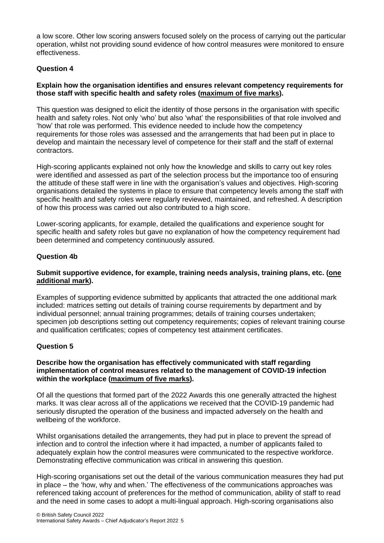a low score. Other low scoring answers focused solely on the process of carrying out the particular operation, whilst not providing sound evidence of how control measures were monitored to ensure effectiveness.

# **Question 4**

# **Explain how the organisation identifies and ensures relevant competency requirements for those staff with specific health and safety roles (maximum of five marks).**

This question was designed to elicit the identity of those persons in the organisation with specific health and safety roles. Not only 'who' but also 'what' the responsibilities of that role involved and 'how' that role was performed. This evidence needed to include how the competency requirements for those roles was assessed and the arrangements that had been put in place to develop and maintain the necessary level of competence for their staff and the staff of external contractors.

High-scoring applicants explained not only how the knowledge and skills to carry out key roles were identified and assessed as part of the selection process but the importance too of ensuring the attitude of these staff were in line with the organisation's values and objectives. High-scoring organisations detailed the systems in place to ensure that competency levels among the staff with specific health and safety roles were regularly reviewed, maintained, and refreshed. A description of how this process was carried out also contributed to a high score.

Lower-scoring applicants, for example, detailed the qualifications and experience sought for specific health and safety roles but gave no explanation of how the competency requirement had been determined and competency continuously assured.

# **Question 4b**

# **Submit supportive evidence, for example, training needs analysis, training plans, etc. (one additional mark).**

Examples of supporting evidence submitted by applicants that attracted the one additional mark included: matrices setting out details of training course requirements by department and by individual personnel; annual training programmes; details of training courses undertaken; specimen job descriptions setting out competency requirements; copies of relevant training course and qualification certificates; copies of competency test attainment certificates.

# **Question 5**

#### **Describe how the organisation has effectively communicated with staff regarding implementation of control measures related to the management of COVID-19 infection within the workplace (maximum of five marks).**

Of all the questions that formed part of the 2022 Awards this one generally attracted the highest marks. It was clear across all of the applications we received that the COVID-19 pandemic had seriously disrupted the operation of the business and impacted adversely on the health and wellbeing of the workforce.

Whilst organisations detailed the arrangements, they had put in place to prevent the spread of infection and to control the infection where it had impacted, a number of applicants failed to adequately explain how the control measures were communicated to the respective workforce. Demonstrating effective communication was critical in answering this question.

High-scoring organisations set out the detail of the various communication measures they had put in place – the 'how, why and when.' The effectiveness of the communications approaches was referenced taking account of preferences for the method of communication, ability of staff to read and the need in some cases to adopt a multi-lingual approach. High-scoring organisations also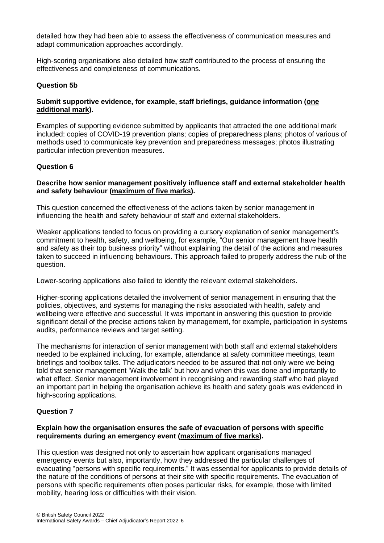detailed how they had been able to assess the effectiveness of communication measures and adapt communication approaches accordingly.

High-scoring organisations also detailed how staff contributed to the process of ensuring the effectiveness and completeness of communications.

#### **Question 5b**

# **Submit supportive evidence, for example, staff briefings, guidance information (one additional mark).**

Examples of supporting evidence submitted by applicants that attracted the one additional mark included: copies of COVID-19 prevention plans; copies of preparedness plans; photos of various of methods used to communicate key prevention and preparedness messages; photos illustrating particular infection prevention measures.

# **Question 6**

#### **Describe how senior management positively influence staff and external stakeholder health and safety behaviour (maximum of five marks).**

This question concerned the effectiveness of the actions taken by senior management in influencing the health and safety behaviour of staff and external stakeholders.

Weaker applications tended to focus on providing a cursory explanation of senior management's commitment to health, safety, and wellbeing, for example, "Our senior management have health and safety as their top business priority" without explaining the detail of the actions and measures taken to succeed in influencing behaviours. This approach failed to properly address the nub of the question.

Lower-scoring applications also failed to identify the relevant external stakeholders.

Higher-scoring applications detailed the involvement of senior management in ensuring that the policies, objectives, and systems for managing the risks associated with health, safety and wellbeing were effective and successful. It was important in answering this question to provide significant detail of the precise actions taken by management, for example, participation in systems audits, performance reviews and target setting.

The mechanisms for interaction of senior management with both staff and external stakeholders needed to be explained including, for example, attendance at safety committee meetings, team briefings and toolbox talks. The adjudicators needed to be assured that not only were we being told that senior management 'Walk the talk' but how and when this was done and importantly to what effect. Senior management involvement in recognising and rewarding staff who had played an important part in helping the organisation achieve its health and safety goals was evidenced in high-scoring applications.

# **Question 7**

#### **Explain how the organisation ensures the safe of evacuation of persons with specific requirements during an emergency event (maximum of five marks).**

This question was designed not only to ascertain how applicant organisations managed emergency events but also, importantly, how they addressed the particular challenges of evacuating "persons with specific requirements." It was essential for applicants to provide details of the nature of the conditions of persons at their site with specific requirements. The evacuation of persons with specific requirements often poses particular risks, for example, those with limited mobility, hearing loss or difficulties with their vision.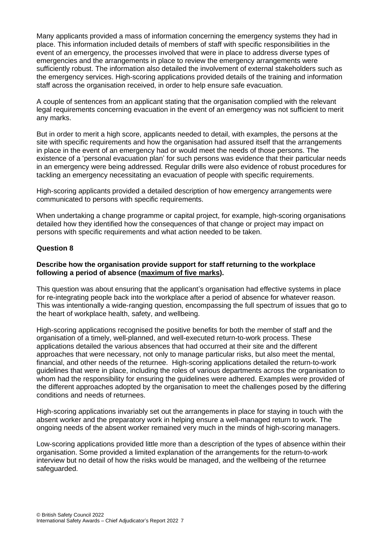Many applicants provided a mass of information concerning the emergency systems they had in place. This information included details of members of staff with specific responsibilities in the event of an emergency, the processes involved that were in place to address diverse types of emergencies and the arrangements in place to review the emergency arrangements were sufficiently robust. The information also detailed the involvement of external stakeholders such as the emergency services. High-scoring applications provided details of the training and information staff across the organisation received, in order to help ensure safe evacuation.

A couple of sentences from an applicant stating that the organisation complied with the relevant legal requirements concerning evacuation in the event of an emergency was not sufficient to merit any marks.

But in order to merit a high score, applicants needed to detail, with examples, the persons at the site with specific requirements and how the organisation had assured itself that the arrangements in place in the event of an emergency had or would meet the needs of those persons. The existence of a 'personal evacuation plan' for such persons was evidence that their particular needs in an emergency were being addressed. Regular drills were also evidence of robust procedures for tackling an emergency necessitating an evacuation of people with specific requirements.

High-scoring applicants provided a detailed description of how emergency arrangements were communicated to persons with specific requirements.

When undertaking a change programme or capital project, for example, high-scoring organisations detailed how they identified how the consequences of that change or project may impact on persons with specific requirements and what action needed to be taken.

#### **Question 8**

#### **Describe how the organisation provide support for staff returning to the workplace following a period of absence (maximum of five marks).**

This question was about ensuring that the applicant's organisation had effective systems in place for re-integrating people back into the workplace after a period of absence for whatever reason. This was intentionally a wide-ranging question, encompassing the full spectrum of issues that go to the heart of workplace health, safety, and wellbeing.

High-scoring applications recognised the positive benefits for both the member of staff and the organisation of a timely, well-planned, and well-executed return-to-work process. These applications detailed the various absences that had occurred at their site and the different approaches that were necessary, not only to manage particular risks, but also meet the mental, financial, and other needs of the returnee. High-scoring applications detailed the return-to-work guidelines that were in place, including the roles of various departments across the organisation to whom had the responsibility for ensuring the guidelines were adhered. Examples were provided of the different approaches adopted by the organisation to meet the challenges posed by the differing conditions and needs of returnees.

High-scoring applications invariably set out the arrangements in place for staying in touch with the absent worker and the preparatory work in helping ensure a well-managed return to work. The ongoing needs of the absent worker remained very much in the minds of high-scoring managers.

Low-scoring applications provided little more than a description of the types of absence within their organisation. Some provided a limited explanation of the arrangements for the return-to-work interview but no detail of how the risks would be managed, and the wellbeing of the returnee safeguarded.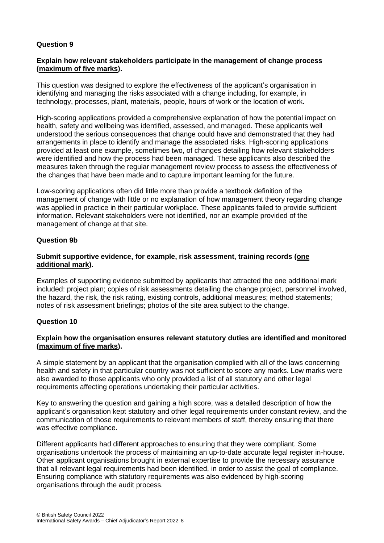# **Question 9**

#### **Explain how relevant stakeholders participate in the management of change process (maximum of five marks).**

This question was designed to explore the effectiveness of the applicant's organisation in identifying and managing the risks associated with a change including, for example, in technology, processes, plant, materials, people, hours of work or the location of work.

High-scoring applications provided a comprehensive explanation of how the potential impact on health, safety and wellbeing was identified, assessed, and managed. These applicants well understood the serious consequences that change could have and demonstrated that they had arrangements in place to identify and manage the associated risks. High-scoring applications provided at least one example, sometimes two, of changes detailing how relevant stakeholders were identified and how the process had been managed. These applicants also described the measures taken through the regular management review process to assess the effectiveness of the changes that have been made and to capture important learning for the future.

Low-scoring applications often did little more than provide a textbook definition of the management of change with little or no explanation of how management theory regarding change was applied in practice in their particular workplace. These applicants failed to provide sufficient information. Relevant stakeholders were not identified, nor an example provided of the management of change at that site.

# **Question 9b**

#### **Submit supportive evidence, for example, risk assessment, training records (one additional mark).**

Examples of supporting evidence submitted by applicants that attracted the one additional mark included: project plan; copies of risk assessments detailing the change project, personnel involved, the hazard, the risk, the risk rating, existing controls, additional measures; method statements; notes of risk assessment briefings; photos of the site area subject to the change.

# **Question 10**

# **Explain how the organisation ensures relevant statutory duties are identified and monitored (maximum of five marks).**

A simple statement by an applicant that the organisation complied with all of the laws concerning health and safety in that particular country was not sufficient to score any marks. Low marks were also awarded to those applicants who only provided a list of all statutory and other legal requirements affecting operations undertaking their particular activities.

Key to answering the question and gaining a high score, was a detailed description of how the applicant's organisation kept statutory and other legal requirements under constant review, and the communication of those requirements to relevant members of staff, thereby ensuring that there was effective compliance.

Different applicants had different approaches to ensuring that they were compliant. Some organisations undertook the process of maintaining an up-to-date accurate legal register in-house. Other applicant organisations brought in external expertise to provide the necessary assurance that all relevant legal requirements had been identified, in order to assist the goal of compliance. Ensuring compliance with statutory requirements was also evidenced by high-scoring organisations through the audit process.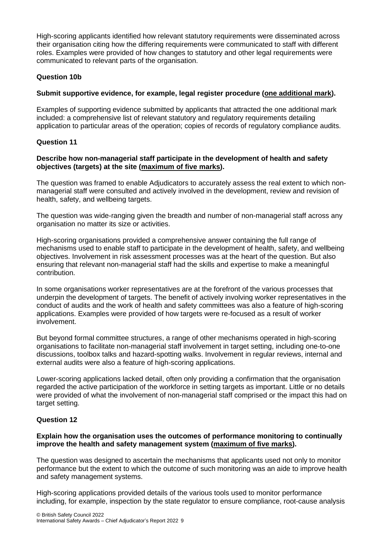High-scoring applicants identified how relevant statutory requirements were disseminated across their organisation citing how the differing requirements were communicated to staff with different roles. Examples were provided of how changes to statutory and other legal requirements were communicated to relevant parts of the organisation.

# **Question 10b**

# **Submit supportive evidence, for example, legal register procedure (one additional mark).**

Examples of supporting evidence submitted by applicants that attracted the one additional mark included: a comprehensive list of relevant statutory and regulatory requirements detailing application to particular areas of the operation; copies of records of regulatory compliance audits.

# **Question 11**

# **Describe how non-managerial staff participate in the development of health and safety objectives (targets) at the site (maximum of five marks).**

The question was framed to enable Adjudicators to accurately assess the real extent to which nonmanagerial staff were consulted and actively involved in the development, review and revision of health, safety, and wellbeing targets.

The question was wide-ranging given the breadth and number of non-managerial staff across any organisation no matter its size or activities.

High-scoring organisations provided a comprehensive answer containing the full range of mechanisms used to enable staff to participate in the development of health, safety, and wellbeing objectives. Involvement in risk assessment processes was at the heart of the question. But also ensuring that relevant non-managerial staff had the skills and expertise to make a meaningful contribution.

In some organisations worker representatives are at the forefront of the various processes that underpin the development of targets. The benefit of actively involving worker representatives in the conduct of audits and the work of health and safety committees was also a feature of high-scoring applications. Examples were provided of how targets were re-focused as a result of worker involvement.

But beyond formal committee structures, a range of other mechanisms operated in high-scoring organisations to facilitate non-managerial staff involvement in target setting, including one-to-one discussions, toolbox talks and hazard-spotting walks. Involvement in regular reviews, internal and external audits were also a feature of high-scoring applications.

Lower-scoring applications lacked detail, often only providing a confirmation that the organisation regarded the active participation of the workforce in setting targets as important. Little or no details were provided of what the involvement of non-managerial staff comprised or the impact this had on target setting.

# **Question 12**

# **Explain how the organisation uses the outcomes of performance monitoring to continually improve the health and safety management system (maximum of five marks).**

The question was designed to ascertain the mechanisms that applicants used not only to monitor performance but the extent to which the outcome of such monitoring was an aide to improve health and safety management systems.

High-scoring applications provided details of the various tools used to monitor performance including, for example, inspection by the state regulator to ensure compliance, root-cause analysis